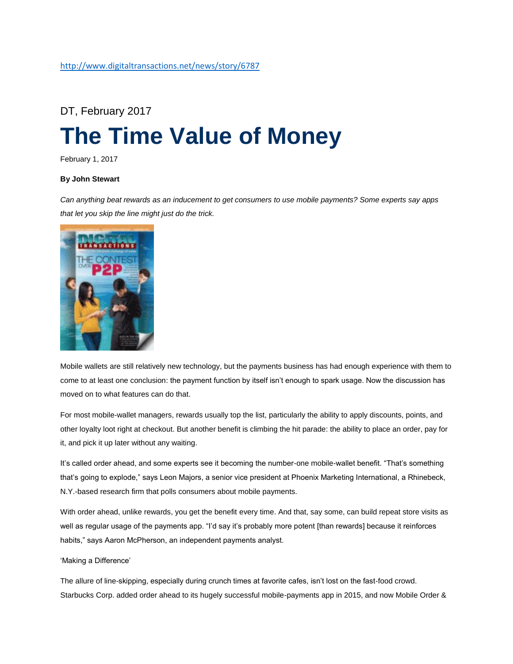# DT, February 2017 **[The Time Value of Money](http://www.digitaltransactions.net/news/story/6787)**

February 1, 2017

# **By John Stewart**

*Can anything beat rewards as an inducement to get consumers to use mobile payments? Some experts say apps that let you skip the line might just do the trick.*



Mobile wallets are still relatively new technology, but the payments business has had enough experience with them to come to at least one conclusion: the payment function by itself isn't enough to spark usage. Now the discussion has moved on to what features can do that.

For most mobile-wallet managers, rewards usually top the list, particularly the ability to apply discounts, points, and other loyalty loot right at checkout. But another benefit is climbing the hit parade: the ability to place an order, pay for it, and pick it up later without any waiting.

It's called order ahead, and some experts see it becoming the number-one mobile-wallet benefit. "That's something that's going to explode," says Leon Majors, a senior vice president at Phoenix Marketing International, a Rhinebeck, N.Y.-based research firm that polls consumers about mobile payments.

With order ahead, unlike rewards, you get the benefit every time. And that, say some, can build repeat store visits as well as regular usage of the payments app. "I'd say it's probably more potent [than rewards] because it reinforces habits," says Aaron McPherson, an independent payments analyst.

# 'Making a Difference'

The allure of line-skipping, especially during crunch times at favorite cafes, isn't lost on the fast-food crowd. Starbucks Corp. added order ahead to its hugely successful mobile-payments app in 2015, and now Mobile Order &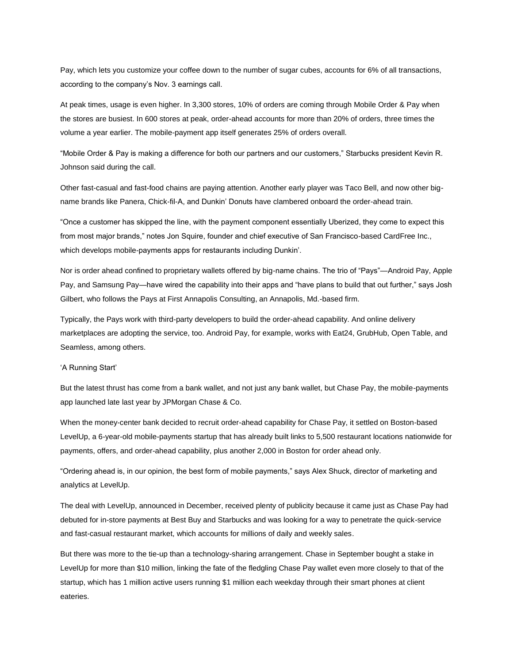Pay, which lets you customize your coffee down to the number of sugar cubes, accounts for 6% of all transactions, according to the company's Nov. 3 earnings call.

At peak times, usage is even higher. In 3,300 stores, 10% of orders are coming through Mobile Order & Pay when the stores are busiest. In 600 stores at peak, order-ahead accounts for more than 20% of orders, three times the volume a year earlier. The mobile-payment app itself generates 25% of orders overall.

"Mobile Order & Pay is making a difference for both our partners and our customers," Starbucks president Kevin R. Johnson said during the call.

Other fast-casual and fast-food chains are paying attention. Another early player was Taco Bell, and now other bigname brands like Panera, Chick-fil-A, and Dunkin' Donuts have clambered onboard the order-ahead train.

"Once a customer has skipped the line, with the payment component essentially Uberized, they come to expect this from most major brands," notes Jon Squire, founder and chief executive of San Francisco-based CardFree Inc., which develops mobile-payments apps for restaurants including Dunkin'.

Nor is order ahead confined to proprietary wallets offered by big-name chains. The trio of "Pays"—Android Pay, Apple Pay, and Samsung Pay—have wired the capability into their apps and "have plans to build that out further," says Josh Gilbert, who follows the Pays at First Annapolis Consulting, an Annapolis, Md.-based firm.

Typically, the Pays work with third-party developers to build the order-ahead capability. And online delivery marketplaces are adopting the service, too. Android Pay, for example, works with Eat24, GrubHub, Open Table, and Seamless, among others.

# 'A Running Start'

But the latest thrust has come from a bank wallet, and not just any bank wallet, but Chase Pay, the mobile-payments app launched late last year by JPMorgan Chase & Co.

When the money-center bank decided to recruit order-ahead capability for Chase Pay, it settled on Boston-based LevelUp, a 6-year-old mobile-payments startup that has already built links to 5,500 restaurant locations nationwide for payments, offers, and order-ahead capability, plus another 2,000 in Boston for order ahead only.

"Ordering ahead is, in our opinion, the best form of mobile payments," says Alex Shuck, director of marketing and analytics at LevelUp.

The deal with LevelUp, announced in December, received plenty of publicity because it came just as Chase Pay had debuted for in-store payments at Best Buy and Starbucks and was looking for a way to penetrate the quick-service and fast-casual restaurant market, which accounts for millions of daily and weekly sales.

But there was more to the tie-up than a technology-sharing arrangement. Chase in September bought a stake in LevelUp for more than \$10 million, linking the fate of the fledgling Chase Pay wallet even more closely to that of the startup, which has 1 million active users running \$1 million each weekday through their smart phones at client eateries.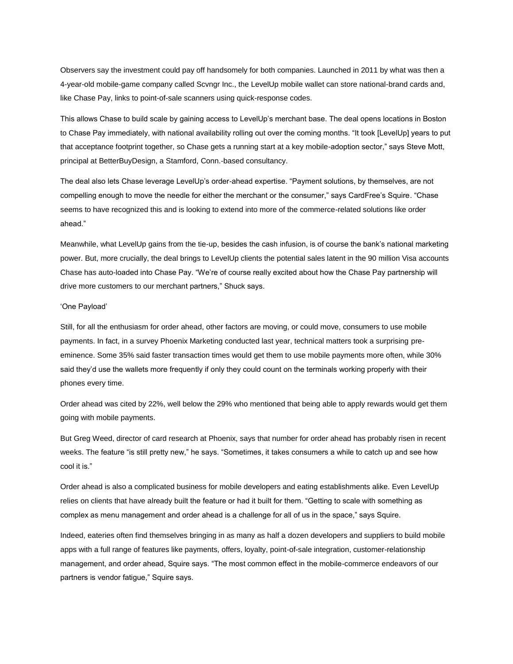Observers say the investment could pay off handsomely for both companies. Launched in 2011 by what was then a 4-year-old mobile-game company called Scvngr Inc., the LevelUp mobile wallet can store national-brand cards and, like Chase Pay, links to point-of-sale scanners using quick-response codes.

This allows Chase to build scale by gaining access to LevelUp's merchant base. The deal opens locations in Boston to Chase Pay immediately, with national availability rolling out over the coming months. "It took [LevelUp] years to put that acceptance footprint together, so Chase gets a running start at a key mobile-adoption sector," says Steve Mott, principal at BetterBuyDesign, a Stamford, Conn.-based consultancy.

The deal also lets Chase leverage LevelUp's order-ahead expertise. "Payment solutions, by themselves, are not compelling enough to move the needle for either the merchant or the consumer," says CardFree's Squire. "Chase seems to have recognized this and is looking to extend into more of the commerce-related solutions like order ahead."

Meanwhile, what LevelUp gains from the tie-up, besides the cash infusion, is of course the bank's national marketing power. But, more crucially, the deal brings to LevelUp clients the potential sales latent in the 90 million Visa accounts Chase has auto-loaded into Chase Pay. "We're of course really excited about how the Chase Pay partnership will drive more customers to our merchant partners," Shuck says.

#### 'One Payload'

Still, for all the enthusiasm for order ahead, other factors are moving, or could move, consumers to use mobile payments. In fact, in a survey Phoenix Marketing conducted last year, technical matters took a surprising preeminence. Some 35% said faster transaction times would get them to use mobile payments more often, while 30% said they'd use the wallets more frequently if only they could count on the terminals working properly with their phones every time.

Order ahead was cited by 22%, well below the 29% who mentioned that being able to apply rewards would get them going with mobile payments.

But Greg Weed, director of card research at Phoenix, says that number for order ahead has probably risen in recent weeks. The feature "is still pretty new," he says. "Sometimes, it takes consumers a while to catch up and see how cool it is."

Order ahead is also a complicated business for mobile developers and eating establishments alike. Even LevelUp relies on clients that have already built the feature or had it built for them. "Getting to scale with something as complex as menu management and order ahead is a challenge for all of us in the space," says Squire.

Indeed, eateries often find themselves bringing in as many as half a dozen developers and suppliers to build mobile apps with a full range of features like payments, offers, loyalty, point-of-sale integration, customer-relationship management, and order ahead, Squire says. "The most common effect in the mobile-commerce endeavors of our partners is vendor fatigue," Squire says.